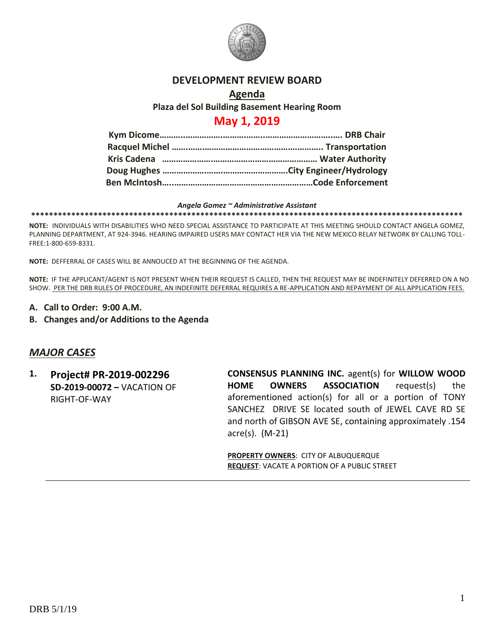

### **DEVELOPMENT REVIEW BOARD**

## **Agenda Plaza del Sol Building Basement Hearing Room**

# **May 1, 2019**

#### *Angela Gomez ~ Administrative Assistant* **\*\*\*\*\*\*\*\*\*\*\*\*\*\*\*\*\*\*\*\*\*\*\*\*\*\*\*\*\*\*\*\*\*\*\*\*\*\*\*\*\*\*\*\*\*\*\*\*\*\*\*\*\*\*\*\*\*\*\*\*\*\*\*\*\*\*\*\*\*\*\*\*\*\*\*\*\*\*\*\*\*\*\*\*\*\*\*\*\*\*\*\*\*\*\*\*\***

**NOTE:** INDIVIDUALS WITH DISABILITIES WHO NEED SPECIAL ASSISTANCE TO PARTICIPATE AT THIS MEETING SHOULD CONTACT ANGELA GOMEZ, PLANNING DEPARTMENT, AT 924-3946. HEARING IMPAIRED USERS MAY CONTACT HER VIA THE NEW MEXICO RELAY NETWORK BY CALLING TOLL-FREE:1-800-659-8331.

**NOTE:** DEFFERRAL OF CASES WILL BE ANNOUCED AT THE BEGINNING OF THE AGENDA.

**NOTE:** IF THE APPLICANT/AGENT IS NOT PRESENT WHEN THEIR REQUEST IS CALLED, THEN THE REQUEST MAY BE INDEFINITELY DEFERRED ON A NO SHOW. PER THE DRB RULES OF PROCEDURE, AN INDEFINITE DEFERRAL REQUIRES A RE-APPLICATION AND REPAYMENT OF ALL APPLICATION FEES.

- **A. Call to Order: 9:00 A.M.**
- **B. Changes and/or Additions to the Agenda**

### *MAJOR CASES*

**1. Project# PR-2019-002296 SD-2019-00072 –** VACATION OF RIGHT-OF-WAY

**CONSENSUS PLANNING INC.** agent(s) for **WILLOW WOOD HOME OWNERS ASSOCIATION** request(s) the aforementioned action(s) for all or a portion of TONY SANCHEZ DRIVE SE located south of JEWEL CAVE RD SE and north of GIBSON AVE SE, containing approximately .154 acre(s). (M-21)

**PROPERTY OWNERS**: CITY OF ALBUQUERQUE **REQUEST**: VACATE A PORTION OF A PUBLIC STREET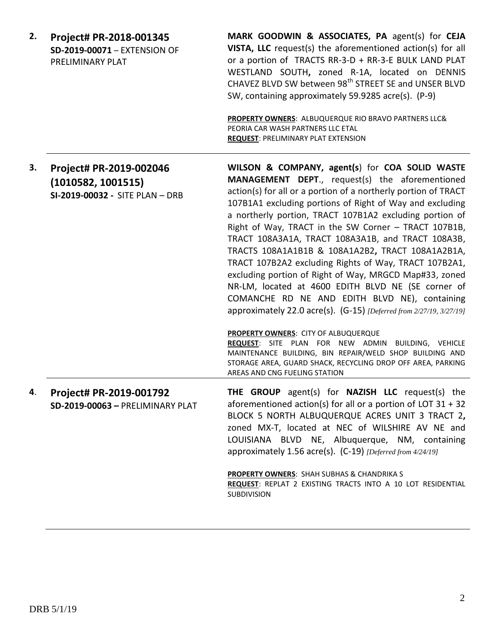| 2. | Project# PR-2018-001345<br>SD-2019-00071 - EXTENSION OF<br>PRELIMINARY PLAT      | MARK GOODWIN & ASSOCIATES, PA agent(s) for CEJA<br>VISTA, LLC request(s) the aforementioned action(s) for all<br>or a portion of TRACTS RR-3-D + RR-3-E BULK LAND PLAT<br>WESTLAND SOUTH, zoned R-1A, located on DENNIS<br>CHAVEZ BLVD SW between 98 <sup>th</sup> STREET SE and UNSER BLVD<br>SW, containing approximately 59.9285 acre(s). (P-9)<br>PROPERTY OWNERS: ALBUQUERQUE RIO BRAVO PARTNERS LLC&                                                                                                                                                                                                                                                                                                                                                          |
|----|----------------------------------------------------------------------------------|---------------------------------------------------------------------------------------------------------------------------------------------------------------------------------------------------------------------------------------------------------------------------------------------------------------------------------------------------------------------------------------------------------------------------------------------------------------------------------------------------------------------------------------------------------------------------------------------------------------------------------------------------------------------------------------------------------------------------------------------------------------------|
|    |                                                                                  | PEORIA CAR WASH PARTNERS LLC ETAL<br><b>REQUEST: PRELIMINARY PLAT EXTENSION</b>                                                                                                                                                                                                                                                                                                                                                                                                                                                                                                                                                                                                                                                                                     |
| 3. | Project# PR-2019-002046<br>(1010582, 1001515)<br>SI-2019-00032 - SITE PLAN - DRB | WILSON & COMPANY, agent(s) for COA SOLID WASTE<br><b>MANAGEMENT DEPT., request(s) the aforementioned</b><br>action(s) for all or a portion of a northerly portion of TRACT<br>107B1A1 excluding portions of Right of Way and excluding<br>a northerly portion, TRACT 107B1A2 excluding portion of<br>Right of Way, TRACT in the SW Corner - TRACT 107B1B,<br>TRACT 108A3A1A, TRACT 108A3A1B, and TRACT 108A3B,<br>TRACTS 108A1A1B1B & 108A1A2B2, TRACT 108A1A2B1A,<br>TRACT 107B2A2 excluding Rights of Way, TRACT 107B2A1,<br>excluding portion of Right of Way, MRGCD Map#33, zoned<br>NR-LM, located at 4600 EDITH BLVD NE (SE corner of<br>COMANCHE RD NE AND EDITH BLVD NE), containing<br>approximately 22.0 acre(s). (G-15) [Deferred from 2/27/19, 3/27/19] |
|    |                                                                                  | PROPERTY OWNERS: CITY OF ALBUQUERQUE<br>REQUEST: SITE PLAN FOR NEW ADMIN BUILDING, VEHICLE<br>MAINTENANCE BUILDING, BIN REPAIR/WELD SHOP BUILDING AND<br>STORAGE AREA, GUARD SHACK, RECYCLING DROP OFF AREA, PARKING<br>AREAS AND CNG FUELING STATION                                                                                                                                                                                                                                                                                                                                                                                                                                                                                                               |
| 4. | Project# PR-2019-001792<br>SD-2019-00063 - PRELIMINARY PLAT                      | THE GROUP agent(s) for NAZISH LLC request(s) the<br>aforementioned action(s) for all or a portion of LOT $31 + 32$<br>BLOCK 5 NORTH ALBUQUERQUE ACRES UNIT 3 TRACT 2,<br>zoned MX-T, located at NEC of WILSHIRE AV NE and<br>LOUISIANA BLVD NE, Albuquerque, NM, containing<br>approximately 1.56 acre(s). (C-19) [Deferred from 4/24/19]                                                                                                                                                                                                                                                                                                                                                                                                                           |
|    |                                                                                  | PROPERTY OWNERS: SHAH SUBHAS & CHANDRIKA S<br>REQUEST: REPLAT 2 EXISTING TRACTS INTO A 10 LOT RESIDENTIAL<br><b>SUBDIVISION</b>                                                                                                                                                                                                                                                                                                                                                                                                                                                                                                                                                                                                                                     |